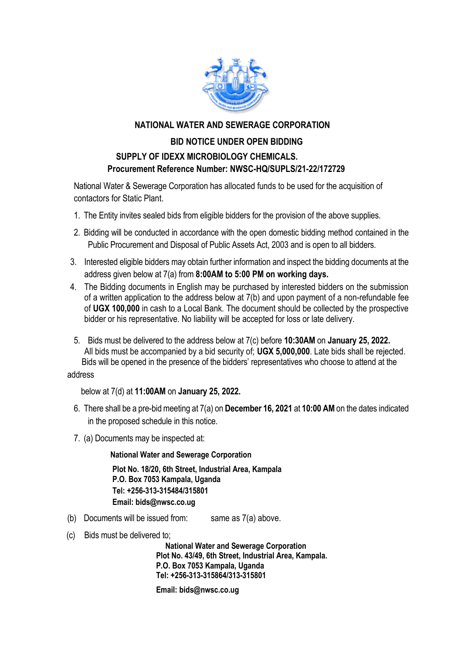

## **NATIONAL WATER AND SEWERAGE CORPORATION**

## **BID NOTICE UNDER OPEN BIDDING SUPPLY OF IDEXX MICROBIOLOGY CHEMICALS. Procurement Reference Number: NWSC-HQ/SUPLS/21-22/172729**

National Water & Sewerage Corporation has allocated funds to be used for the acquisition of contactors for Static Plant.

- 1. The Entity invites sealed bids from eligible bidders for the provision of the above supplies.
- 2. Bidding will be conducted in accordance with the open domestic bidding method contained in the Public Procurement and Disposal of Public Assets Act, 2003 and is open to all bidders.
- 3. Interested eligible bidders may obtain further information and inspect the bidding documents at the address given below at 7(a) from **8:00AM to 5:00 PM on working days.**
- 4. The Bidding documents in English may be purchased by interested bidders on the submission of a written application to the address below at 7(b) and upon payment of a non-refundable fee of **UGX 100,000** in cash to a Local Bank. The document should be collected by the prospective bidder or his representative. No liability will be accepted for loss or late delivery.
- 5. Bids must be delivered to the address below at 7(c) before **10:30AM** on **January 25, 2022.** All bids must be accompanied by a bid security of; **UGX 5,000,000**. Late bids shall be rejected. Bids will be opened in the presence of the bidders' representatives who choose to attend at the

address

below at 7(d) at **11:00AM** on **January 25, 2022.**

- 6. There shall be a pre-bid meeting at 7(a) on **December 16, 2021** at **10:00 AM** on the dates indicated in the proposed schedule in this notice.
- 7. (a) Documents may be inspected at:

**National Water and Sewerage Corporation**

**Plot No. 18/20, 6th Street, Industrial Area, Kampala P.O. Box 7053 Kampala, Uganda Tel: +256-313-315484/315801 Email: bids@nwsc.co.ug** 

- (b) Documents will be issued from: same as  $7(a)$  above.
- (c) Bids must be delivered to;

 **National Water and Sewerage Corporation Plot No. 43/49, 6th Street, Industrial Area, Kampala. P.O. Box 7053 Kampala, Uganda Tel: +256-313-315864/313-315801**

 **Email: bids@nwsc.co.ug**